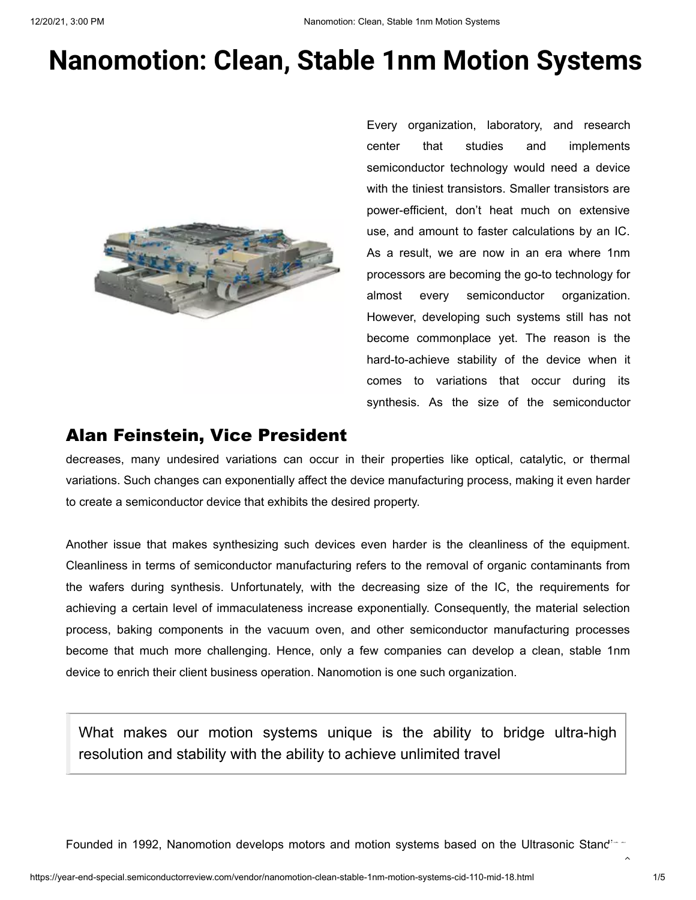### **Nanomotion: Clean, Stable 1nm Motion Systems**



Every organization, laboratory, and research center that studies and implements semiconductor technology would need a device with the tiniest transistors. Smaller transistors are power-efficient, don't heat much on extensive use, and amount to faster calculations by an IC. As a result, we are now in an era where 1nm processors are becoming the go-to technology for almost every semiconductor organization. However, developing such systems still has not become commonplace yet. The reason is the hard-to-achieve stability of the device when it comes to variations that occur during its synthesis. As the size of the semiconductor

#### Alan Feinstein, Vice President

decreases, many undesired variations can occur in their properties like optical, catalytic, or thermal variations. Such changes can exponentially affect the device manufacturing process, making it even harder to create a semiconductor device that exhibits the desired property.

Another issue that makes synthesizing such devices even harder is the cleanliness of the equipment. Cleanliness in terms of semiconductor manufacturing refers to the removal of organic contaminants from the wafers during synthesis. Unfortunately, with the decreasing size of the IC, the requirements for achieving a certain level of immaculateness increase exponentially. Consequently, the material selection process, baking components in the vacuum oven, and other semiconductor manufacturing processes become that much more challenging. Hence, only a few companies can develop a clean, stable 1nm device to enrich their client business operation. Nanomotion is one such organization.

What makes our motion systems unique is the ability to bridge ultra-high resolution and stability with the ability to achieve unlimited travel

Founded in 1992, Nanomotion develops motors and motion systems based on the Ultrasonic Stand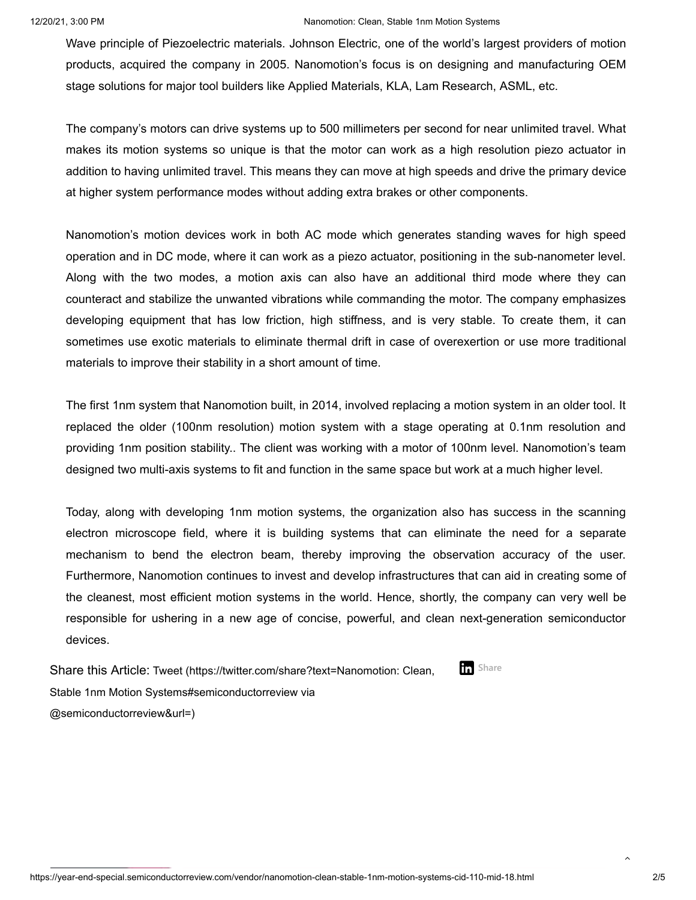#### 12/20/21, 3:00 PM Nanomotion: Clean, Stable 1nm Motion Systems

Wave principle of Piezoelectric materials. Johnson Electric, one of the world's largest providers of motion products, acquired the company in 2005. Nanomotion's focus is on designing and manufacturing OEM stage solutions for major tool builders like Applied Materials, KLA, Lam Research, ASML, etc.

<span id="page-1-0"></span>The company's motors can drive systems up to 500 millimeters per second for near unlimited travel. What makes its motion systems so unique is that the motor can work as a high resolution piezo actuator in addition to having unlimited travel. This means they can move at high speeds and drive the primary device at higher system performance modes without adding extra brakes or other components.

Nanomotion's motion devices work in both AC mode which generates standing waves for high speed operation and in DC mode, where it can work as a piezo actuator, positioning in the sub-nanometer level. Along with the two modes, a motion axis can also have an additional third mode where they can counteract and stabilize the unwanted vibrations while commanding the motor. The company emphasizes developing equipment that has low friction, high stiffness, and is very stable. To create them, it can sometimes use exotic materials to eliminate thermal drift in case of overexertion or use more traditional materials to improve their stability in a short amount of time.

The first 1nm system that Nanomotion built, in 2014, involved replacing a motion system in an older tool. It replaced the older (100nm resolution) motion system with a stage operating at 0.1nm resolution and providing 1nm position stability.. The client was working with a motor of 100nm level. Nanomotion's team designed two multi-axis systems to fit and function in the same space but work at a much higher level.

Today, along with developing 1nm motion systems, the organization also has success in the scanning electron microscope field, where it is building systems that can eliminate the need for a separate mechanism to bend the electron beam, thereby improving the observation accuracy of the user. Furthermore, Nanomotion continues to invest and develop infrastructures that can aid in creating some of the cleanest, most efficient motion systems in the world. Hence, shortly, the company can very well be responsible for ushering in a new age of concise, powerful, and clean next-generation semiconductor devices.

Share this Article: [Tweet \(https://twitter.com/share?text=Nanomotion: Clean,](https://twitter.com/share?text=Nanomotion:%20Clean,%20Stable%201nm%20Motion%20Systems#semiconductorreview%20via%20@semiconductorreview&url=) Stable 1nm Motion Systems#semiconductorreview via @semiconductorreview&url=) **Share** 

https://year-end-special.semiconductorreview.com/vendor/nanomotion-clean-stable-1nm-motion-systems-cid-110-mid-18.html 2/5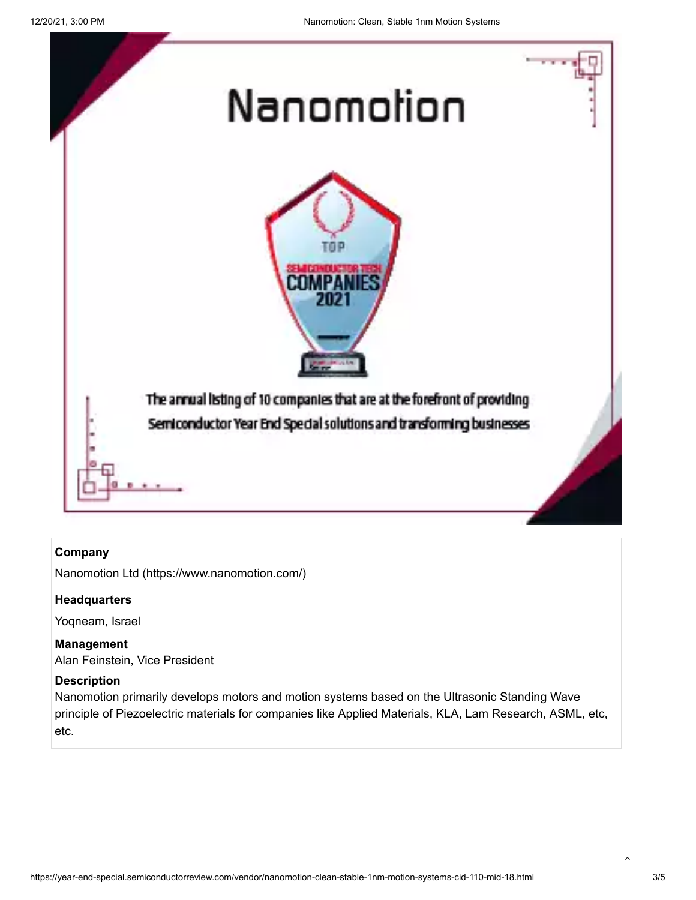

#### **Company**

[Nanomotion Ltd \(https://www.nanomotion.com/\)](https://www.nanomotion.com/)

#### **Headquarters**

Yoqneam, Israel

**Management**  Alan Feinstein, Vice President

#### **Description**

Nanomotion primarily develops motors and motion systems based on the Ultrasonic Standing Wave principle of Piezoelectric materials for companies like Applied Materials, KLA, Lam Research, ASML, etc, etc.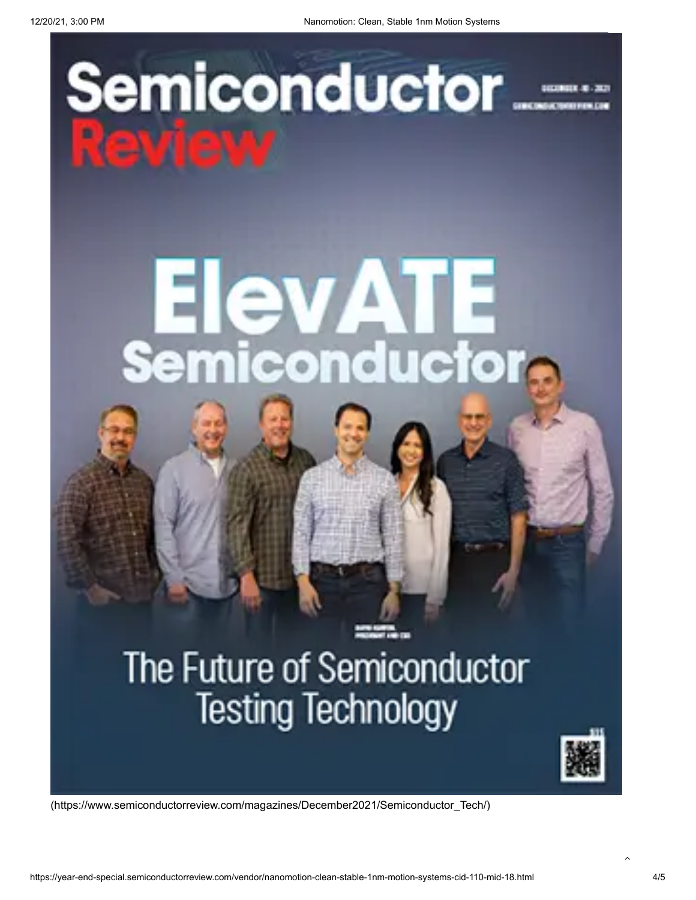# Semiconductor\_\_\_\_



# The Future of Semiconductor **Testing Technology**



[\(https://www.semiconductorreview.com/magazines/December2021/Semiconductor\\_Tech/\)](https://www.semiconductorreview.com/magazines/December2021/Semiconductor_Tech/)